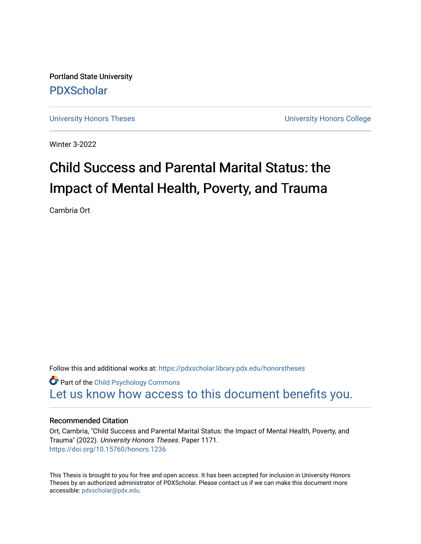Portland State University [PDXScholar](https://pdxscholar.library.pdx.edu/)

[University Honors Theses](https://pdxscholar.library.pdx.edu/honorstheses) **University Honors College** 

Winter 3-2022

# Child Success and Parental Marital Status: the Impact of Mental Health, Poverty, and Trauma

Cambria Ort

Follow this and additional works at: [https://pdxscholar.library.pdx.edu/honorstheses](https://pdxscholar.library.pdx.edu/honorstheses?utm_source=pdxscholar.library.pdx.edu%2Fhonorstheses%2F1171&utm_medium=PDF&utm_campaign=PDFCoverPages) 

**Part of the Child Psychology Commons** [Let us know how access to this document benefits you.](http://library.pdx.edu/services/pdxscholar-services/pdxscholar-feedback/) 

### Recommended Citation

Ort, Cambria, "Child Success and Parental Marital Status: the Impact of Mental Health, Poverty, and Trauma" (2022). University Honors Theses. Paper 1171. <https://doi.org/10.15760/honors.1236>

This Thesis is brought to you for free and open access. It has been accepted for inclusion in University Honors Theses by an authorized administrator of PDXScholar. Please contact us if we can make this document more accessible: [pdxscholar@pdx.edu.](mailto:pdxscholar@pdx.edu)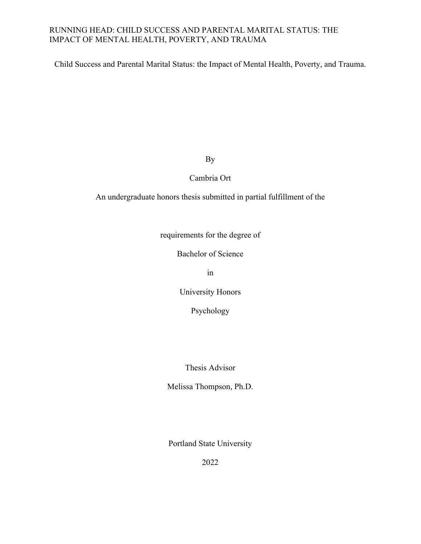Child Success and Parental Marital Status: the Impact of Mental Health, Poverty, and Trauma.

By

Cambria Ort

An undergraduate honors thesis submitted in partial fulfillment of the

requirements for the degree of

Bachelor of Science

in

University Honors

Psychology

Thesis Advisor

Melissa Thompson, Ph.D.

Portland State University

2022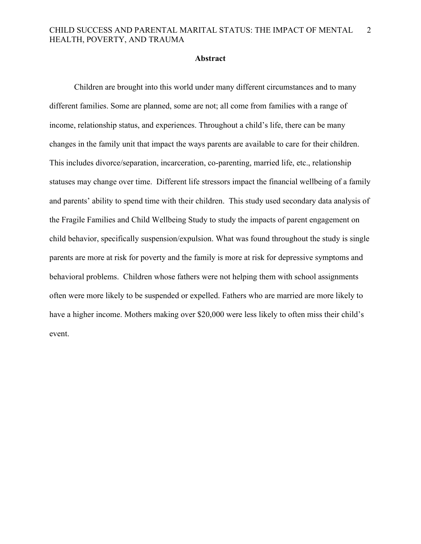### **Abstract**

Children are brought into this world under many different circumstances and to many different families. Some are planned, some are not; all come from families with a range of income, relationship status, and experiences. Throughout a child's life, there can be many changes in the family unit that impact the ways parents are available to care for their children. This includes divorce/separation, incarceration, co-parenting, married life, etc., relationship statuses may change over time. Different life stressors impact the financial wellbeing of a family and parents' ability to spend time with their children. This study used secondary data analysis of the Fragile Families and Child Wellbeing Study to study the impacts of parent engagement on child behavior, specifically suspension/expulsion. What was found throughout the study is single parents are more at risk for poverty and the family is more at risk for depressive symptoms and behavioral problems. Children whose fathers were not helping them with school assignments often were more likely to be suspended or expelled. Fathers who are married are more likely to have a higher income. Mothers making over \$20,000 were less likely to often miss their child's event.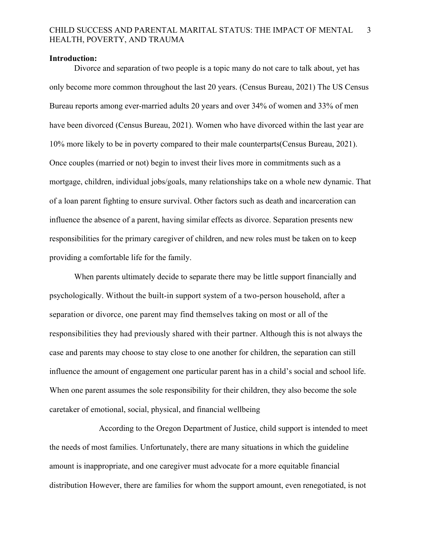### **Introduction:**

Divorce and separation of two people is a topic many do not care to talk about, yet has only become more common throughout the last 20 years. (Census Bureau, 2021) The US Census Bureau reports among ever-married adults 20 years and over 34% of women and 33% of men have been divorced (Census Bureau, 2021). Women who have divorced within the last year are 10% more likely to be in poverty compared to their male counterparts(Census Bureau, 2021). Once couples (married or not) begin to invest their lives more in commitments such as a mortgage, children, individual jobs/goals, many relationships take on a whole new dynamic. That of a loan parent fighting to ensure survival. Other factors such as death and incarceration can influence the absence of a parent, having similar effects as divorce. Separation presents new responsibilities for the primary caregiver of children, and new roles must be taken on to keep providing a comfortable life for the family.

When parents ultimately decide to separate there may be little support financially and psychologically. Without the built-in support system of a two-person household, after a separation or divorce, one parent may find themselves taking on most or all of the responsibilities they had previously shared with their partner. Although this is not always the case and parents may choose to stay close to one another for children, the separation can still influence the amount of engagement one particular parent has in a child's social and school life. When one parent assumes the sole responsibility for their children, they also become the sole caretaker of emotional, social, physical, and financial wellbeing

According to the Oregon Department of Justice, child support is intended to meet the needs of most families. Unfortunately, there are many situations in which the guideline amount is inappropriate, and one caregiver must advocate for a more equitable financial distribution However, there are families for whom the support amount, even renegotiated, is not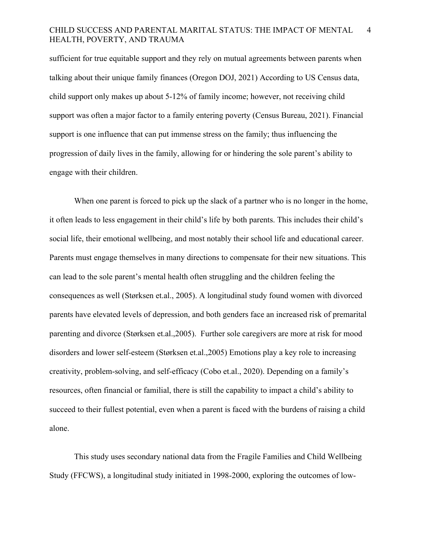sufficient for true equitable support and they rely on mutual agreements between parents when talking about their unique family finances (Oregon DOJ, 2021) According to US Census data, child support only makes up about 5-12% of family income; however, not receiving child support was often a major factor to a family entering poverty (Census Bureau, 2021). Financial support is one influence that can put immense stress on the family; thus influencing the progression of daily lives in the family, allowing for or hindering the sole parent's ability to engage with their children.

When one parent is forced to pick up the slack of a partner who is no longer in the home, it often leads to less engagement in their child's life by both parents. This includes their child's social life, their emotional wellbeing, and most notably their school life and educational career. Parents must engage themselves in many directions to compensate for their new situations. This can lead to the sole parent's mental health often struggling and the children feeling the consequences as well (Størksen et.al., 2005). A longitudinal study found women with divorced parents have elevated levels of depression, and both genders face an increased risk of premarital parenting and divorce (Størksen et.al.,2005). Further sole caregivers are more at risk for mood disorders and lower self-esteem (Størksen et.al.,2005) Emotions play a key role to increasing creativity, problem-solving, and self-efficacy (Cobo et.al., 2020). Depending on a family's resources, often financial or familial, there is still the capability to impact a child's ability to succeed to their fullest potential, even when a parent is faced with the burdens of raising a child alone.

This study uses secondary national data from the Fragile Families and Child Wellbeing Study (FFCWS), a longitudinal study initiated in 1998-2000, exploring the outcomes of low-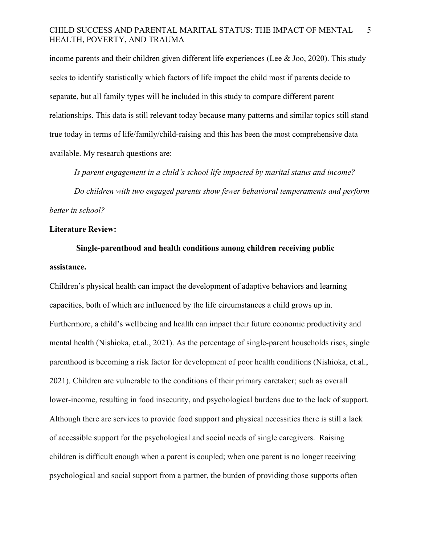income parents and their children given different life experiences (Lee & Joo, 2020). This study seeks to identify statistically which factors of life impact the child most if parents decide to separate, but all family types will be included in this study to compare different parent relationships. This data is still relevant today because many patterns and similar topics still stand true today in terms of life/family/child-raising and this has been the most comprehensive data available. My research questions are:

*Is parent engagement in a child's school life impacted by marital status and income? Do children with two engaged parents show fewer behavioral temperaments and perform better in school?*

### **Literature Review:**

## **Single-parenthood and health conditions among children receiving public assistance.**

Children's physical health can impact the development of adaptive behaviors and learning capacities, both of which are influenced by the life circumstances a child grows up in. Furthermore, a child's wellbeing and health can impact their future economic productivity and mental health (Nishioka, et.al., 2021). As the percentage of single-parent households rises, single parenthood is becoming a risk factor for development of poor health conditions (Nishioka, et.al., 2021). Children are vulnerable to the conditions of their primary caretaker; such as overall lower-income, resulting in food insecurity, and psychological burdens due to the lack of support. Although there are services to provide food support and physical necessities there is still a lack of accessible support for the psychological and social needs of single caregivers. Raising children is difficult enough when a parent is coupled; when one parent is no longer receiving psychological and social support from a partner, the burden of providing those supports often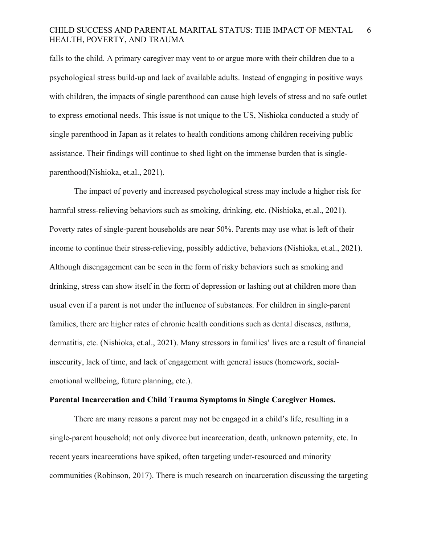falls to the child. A primary caregiver may vent to or argue more with their children due to a psychological stress build-up and lack of available adults. Instead of engaging in positive ways with children, the impacts of single parenthood can cause high levels of stress and no safe outlet to express emotional needs. This issue is not unique to the US, Nishioka conducted a study of single parenthood in Japan as it relates to health conditions among children receiving public assistance. Their findings will continue to shed light on the immense burden that is singleparenthood(Nishioka, et.al., 2021).

The impact of poverty and increased psychological stress may include a higher risk for harmful stress-relieving behaviors such as smoking, drinking, etc. (Nishioka, et.al., 2021). Poverty rates of single-parent households are near 50%. Parents may use what is left of their income to continue their stress-relieving, possibly addictive, behaviors (Nishioka, et.al., 2021). Although disengagement can be seen in the form of risky behaviors such as smoking and drinking, stress can show itself in the form of depression or lashing out at children more than usual even if a parent is not under the influence of substances. For children in single-parent families, there are higher rates of chronic health conditions such as dental diseases, asthma, dermatitis, etc. (Nishioka, et.al., 2021). Many stressors in families' lives are a result of financial insecurity, lack of time, and lack of engagement with general issues (homework, socialemotional wellbeing, future planning, etc.).

### **Parental Incarceration and Child Trauma Symptoms in Single Caregiver Homes.**

There are many reasons a parent may not be engaged in a child's life, resulting in a single-parent household; not only divorce but incarceration, death, unknown paternity, etc. In recent years incarcerations have spiked, often targeting under-resourced and minority communities (Robinson, 2017). There is much research on incarceration discussing the targeting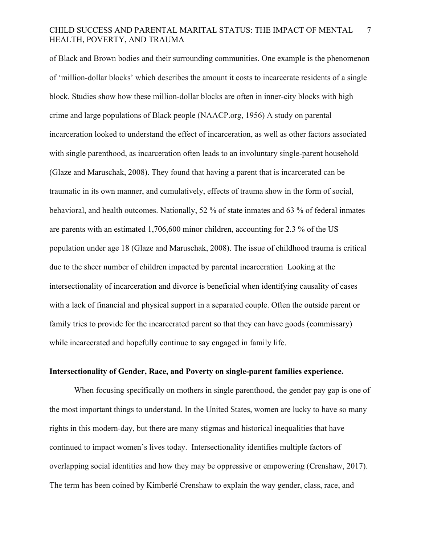of Black and Brown bodies and their surrounding communities. One example is the phenomenon of 'million-dollar blocks' which describes the amount it costs to incarcerate residents of a single block. Studies show how these million-dollar blocks are often in inner-city blocks with high crime and large populations of Black people (NAACP.org, 1956) A study on parental incarceration looked to understand the effect of incarceration, as well as other factors associated with single parenthood, as incarceration often leads to an involuntary single-parent household (Glaze and Maruschak, 2008). They found that having a parent that is incarcerated can be traumatic in its own manner, and cumulatively, effects of trauma show in the form of social, behavioral, and health outcomes. Nationally, 52 % of state inmates and 63 % of federal inmates are parents with an estimated 1,706,600 minor children, accounting for 2.3 % of the US population under age 18 (Glaze and Maruschak, 2008). The issue of childhood trauma is critical due to the sheer number of children impacted by parental incarceration Looking at the intersectionality of incarceration and divorce is beneficial when identifying causality of cases with a lack of financial and physical support in a separated couple. Often the outside parent or family tries to provide for the incarcerated parent so that they can have goods (commissary) while incarcerated and hopefully continue to say engaged in family life.

### **Intersectionality of Gender, Race, and Poverty on single-parent families experience.**

When focusing specifically on mothers in single parenthood, the gender pay gap is one of the most important things to understand. In the United States, women are lucky to have so many rights in this modern-day, but there are many stigmas and historical inequalities that have continued to impact women's lives today. Intersectionality identifies multiple factors of overlapping social identities and how they may be oppressive or empowering (Crenshaw, 2017). The term has been coined by Kimberlé Crenshaw to explain the way gender, class, race, and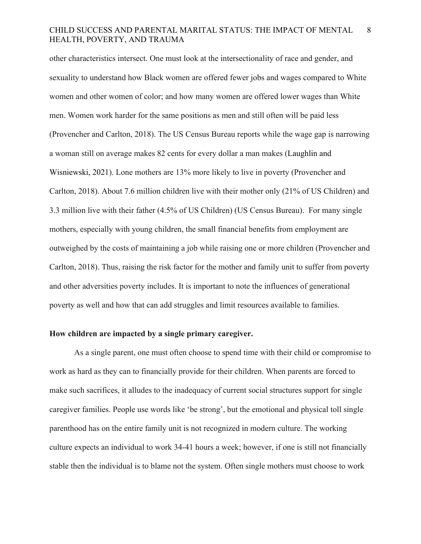other characteristics intersect. One must look at the intersectionality of race and gender, and sexuality to understand how Black women are offered fewer jobs and wages compared to White women and other women of color; and how many women are offered lower wages than White men. Women work harder for the same positions as men and still often will be paid less (Provencher and Carlton, 2018). The US Census Bureau reports while the wage gap is narrowing a woman still on average makes 82 cents for every dollar a man makes (Laughlin and Wisniewski, 2021). Lone mothers are 13% more likely to live in poverty (Provencher and Carlton, 2018). About 7.6 million children live with their mother only (21% of US Children) and 3.3 million live with their father (4.5% of US Children) (US Census Bureau). For many single mothers, especially with young children, the small financial benefits from employment are outweighed by the costs of maintaining a job while raising one or more children (Provencher and Carlton, 2018). Thus, raising the risk factor for the mother and family unit to suffer from poverty and other adversities poverty includes. It is important to note the influences of generational poverty as well and how that can add struggles and limit resources available to families.

### **How children are impacted by a single primary caregiver.**

As a single parent, one must often choose to spend time with their child or compromise to work as hard as they can to financially provide for their children. When parents are forced to make such sacrifices, it alludes to the inadequacy of current social structures support for single caregiver families. People use words like 'be strong', but the emotional and physical toll single parenthood has on the entire family unit is not recognized in modern culture. The working culture expects an individual to work 34-41 hours a week; however, if one is still not financially stable then the individual is to blame not the system. Often single mothers must choose to work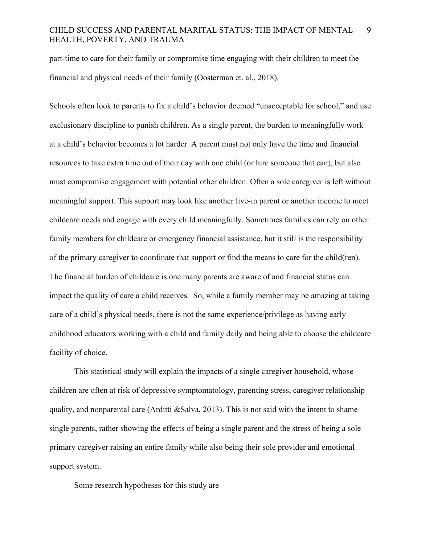part-time to care for their family or compromise time engaging with their children to meet the financial and physical needs of their family (Oosterman et. al., 2018).

Schools often look to parents to fix a child's behavior deemed "unacceptable for school," and use exclusionary discipline to punish children. As a single parent, the burden to meaningfully work at a child's behavior becomes a lot harder. A parent must not only have the time and financial resources to take extra time out of their day with one child (or hire someone that can), but also must compromise engagement with potential other children. Often a sole caregiver is left without meaningful support. This support may look like another live-in parent or another income to meet childcare needs and engage with every child meaningfully. Sometimes families can rely on other family members for childcare or emergency financial assistance, but it still is the responsibility of the primary caregiver to coordinate that support or find the means to care for the child(ren). The financial burden of childcare is one many parents are aware of and financial status can impact the quality of care a child receives. So, while a family member may be amazing at taking care of a child's physical needs, there is not the same experience/privilege as having early childhood educators working with a child and family daily and being able to choose the childcare facility of choice.

This statistical study will explain the impacts of a single caregiver household, whose children are often at risk of depressive symptomatology, parenting stress, caregiver relationship quality, and nonparental care (Arditti &Salva, 2013). This is not said with the intent to shame single parents, rather showing the effects of being a single parent and the stress of being a sole primary caregiver raising an entire family while also being their sole provider and emotional support system.

Some research hypotheses for this study are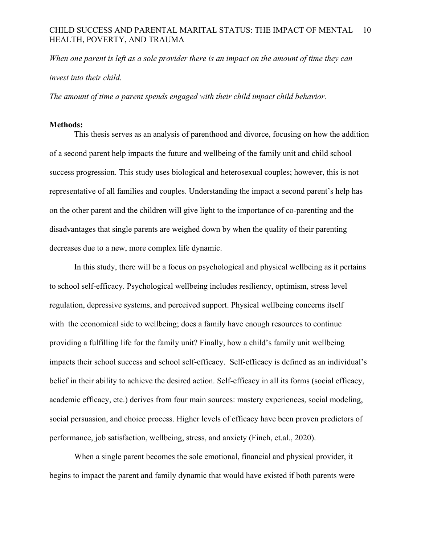*When one parent is left as a sole provider there is an impact on the amount of time they can invest into their child.*

*The amount of time a parent spends engaged with their child impact child behavior.*

### **Methods:**

This thesis serves as an analysis of parenthood and divorce, focusing on how the addition of a second parent help impacts the future and wellbeing of the family unit and child school success progression. This study uses biological and heterosexual couples; however, this is not representative of all families and couples. Understanding the impact a second parent's help has on the other parent and the children will give light to the importance of co-parenting and the disadvantages that single parents are weighed down by when the quality of their parenting decreases due to a new, more complex life dynamic.

In this study, there will be a focus on psychological and physical wellbeing as it pertains to school self-efficacy. Psychological wellbeing includes resiliency, optimism, stress level regulation, depressive systems, and perceived support. Physical wellbeing concerns itself with the economical side to wellbeing; does a family have enough resources to continue providing a fulfilling life for the family unit? Finally, how a child's family unit wellbeing impacts their school success and school self-efficacy. Self-efficacy is defined as an individual's belief in their ability to achieve the desired action. Self-efficacy in all its forms (social efficacy, academic efficacy, etc.) derives from four main sources: mastery experiences, social modeling, social persuasion, and choice process. Higher levels of efficacy have been proven predictors of performance, job satisfaction, wellbeing, stress, and anxiety (Finch, et.al., 2020).

When a single parent becomes the sole emotional, financial and physical provider, it begins to impact the parent and family dynamic that would have existed if both parents were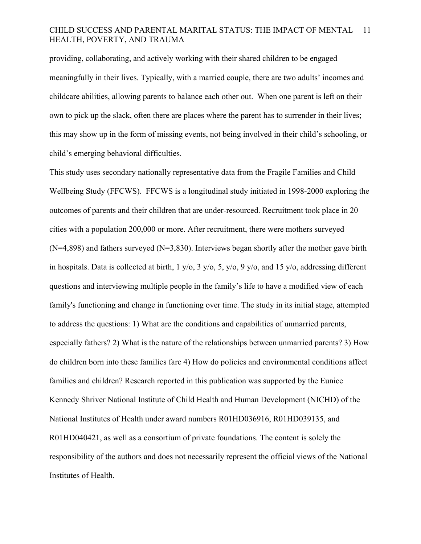providing, collaborating, and actively working with their shared children to be engaged meaningfully in their lives. Typically, with a married couple, there are two adults' incomes and childcare abilities, allowing parents to balance each other out. When one parent is left on their own to pick up the slack, often there are places where the parent has to surrender in their lives; this may show up in the form of missing events, not being involved in their child's schooling, or child's emerging behavioral difficulties.

This study uses secondary nationally representative data from the Fragile Families and Child Wellbeing Study (FFCWS). FFCWS is a longitudinal study initiated in 1998-2000 exploring the outcomes of parents and their children that are under-resourced. Recruitment took place in 20 cities with a population 200,000 or more. After recruitment, there were mothers surveyed  $(N=4,898)$  and fathers surveyed  $(N=3,830)$ . Interviews began shortly after the mother gave birth in hospitals. Data is collected at birth,  $1 \frac{y}{0}$ ,  $3 \frac{y}{0}$ ,  $5 \frac{y}{0}$ ,  $9 \frac{y}{0}$ , and  $15 \frac{y}{0}$ , addressing different questions and interviewing multiple people in the family's life to have a modified view of each family's functioning and change in functioning over time. The study in its initial stage, attempted to address the questions: 1) What are the conditions and capabilities of unmarried parents, especially fathers? 2) What is the nature of the relationships between unmarried parents? 3) How do children born into these families fare 4) How do policies and environmental conditions affect families and children? Research reported in this publication was supported by the Eunice Kennedy Shriver National Institute of Child Health and Human Development (NICHD) of the National Institutes of Health under award numbers R01HD036916, R01HD039135, and R01HD040421, as well as a consortium of private foundations. The content is solely the responsibility of the authors and does not necessarily represent the official views of the National Institutes of Health.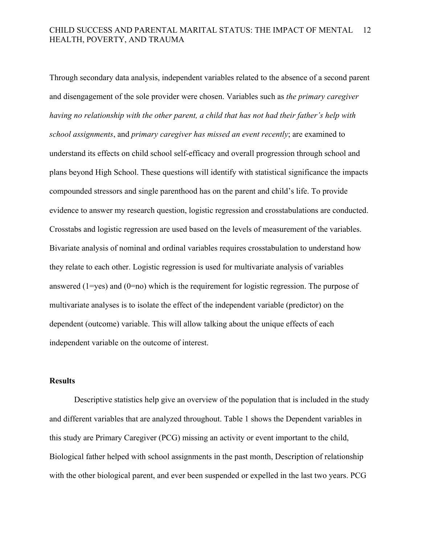Through secondary data analysis, independent variables related to the absence of a second parent and disengagement of the sole provider were chosen. Variables such as *the primary caregiver having no relationship with the other parent, a child that has not had their father's help with school assignments*, and *primary caregiver has missed an event recently*; are examined to understand its effects on child school self-efficacy and overall progression through school and plans beyond High School. These questions will identify with statistical significance the impacts compounded stressors and single parenthood has on the parent and child's life. To provide evidence to answer my research question, logistic regression and crosstabulations are conducted. Crosstabs and logistic regression are used based on the levels of measurement of the variables. Bivariate analysis of nominal and ordinal variables requires crosstabulation to understand how they relate to each other. Logistic regression is used for multivariate analysis of variables answered (1=yes) and (0=no) which is the requirement for logistic regression. The purpose of multivariate analyses is to isolate the effect of the independent variable (predictor) on the dependent (outcome) variable. This will allow talking about the unique effects of each independent variable on the outcome of interest.

### **Results**

Descriptive statistics help give an overview of the population that is included in the study and different variables that are analyzed throughout. Table 1 shows the Dependent variables in this study are Primary Caregiver (PCG) missing an activity or event important to the child, Biological father helped with school assignments in the past month, Description of relationship with the other biological parent, and ever been suspended or expelled in the last two years. PCG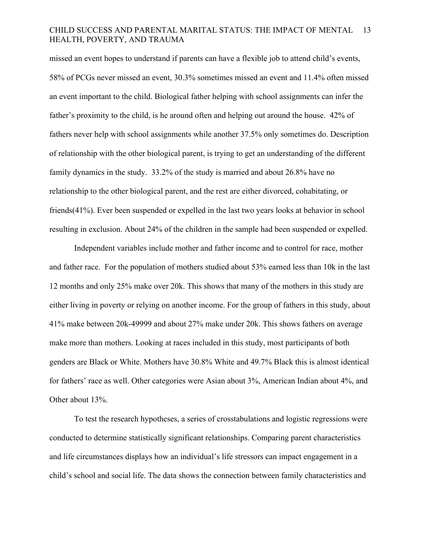missed an event hopes to understand if parents can have a flexible job to attend child's events, 58% of PCGs never missed an event, 30.3% sometimes missed an event and 11.4% often missed an event important to the child. Biological father helping with school assignments can infer the father's proximity to the child, is he around often and helping out around the house. 42% of fathers never help with school assignments while another 37.5% only sometimes do. Description of relationship with the other biological parent, is trying to get an understanding of the different family dynamics in the study. 33.2% of the study is married and about 26.8% have no relationship to the other biological parent, and the rest are either divorced, cohabitating, or friends(41%). Ever been suspended or expelled in the last two years looks at behavior in school resulting in exclusion. About 24% of the children in the sample had been suspended or expelled.

Independent variables include mother and father income and to control for race, mother and father race. For the population of mothers studied about 53% earned less than 10k in the last 12 months and only 25% make over 20k. This shows that many of the mothers in this study are either living in poverty or relying on another income. For the group of fathers in this study, about 41% make between 20k-49999 and about 27% make under 20k. This shows fathers on average make more than mothers. Looking at races included in this study, most participants of both genders are Black or White. Mothers have 30.8% White and 49.7% Black this is almost identical for fathers' race as well. Other categories were Asian about 3%, American Indian about 4%, and Other about 13%.

To test the research hypotheses, a series of crosstabulations and logistic regressions were conducted to determine statistically significant relationships. Comparing parent characteristics and life circumstances displays how an individual's life stressors can impact engagement in a child's school and social life. The data shows the connection between family characteristics and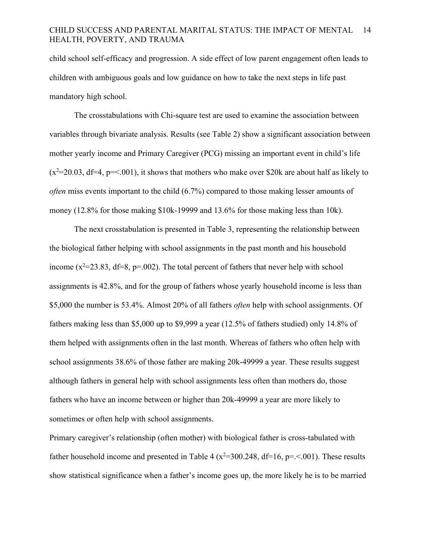child school self-efficacy and progression. A side effect of low parent engagement often leads to children with ambiguous goals and low guidance on how to take the next steps in life past mandatory high school.

The crosstabulations with Chi-square test are used to examine the association between variables through bivariate analysis. Results (see Table 2) show a significant association between mother yearly income and Primary Caregiver (PCG) missing an important event in child's life  $(x^2=20.03, df=4, p=<.001)$ , it shows that mothers who make over \$20k are about half as likely to *often* miss events important to the child (6.7%) compared to those making lesser amounts of money (12.8% for those making \$10k-19999 and 13.6% for those making less than 10k).

The next crosstabulation is presented in Table 3, representing the relationship between the biological father helping with school assignments in the past month and his household income  $(x^2=23.83, df=8, p=.002)$ . The total percent of fathers that never help with school assignments is 42.8%, and for the group of fathers whose yearly household income is less than \$5,000 the number is 53.4%. Almost 20% of all fathers *often* help with school assignments. Of fathers making less than \$5,000 up to \$9,999 a year (12.5% of fathers studied) only 14.8% of them helped with assignments often in the last month. Whereas of fathers who often help with school assignments 38.6% of those father are making 20k-49999 a year. These results suggest although fathers in general help with school assignments less often than mothers do, those fathers who have an income between or higher than 20k-49999 a year are more likely to sometimes or often help with school assignments.

Primary caregiver's relationship (often mother) with biological father is cross-tabulated with father household income and presented in Table 4 ( $x^2$ =300.248, df=16, p=.<.001). These results show statistical significance when a father's income goes up, the more likely he is to be married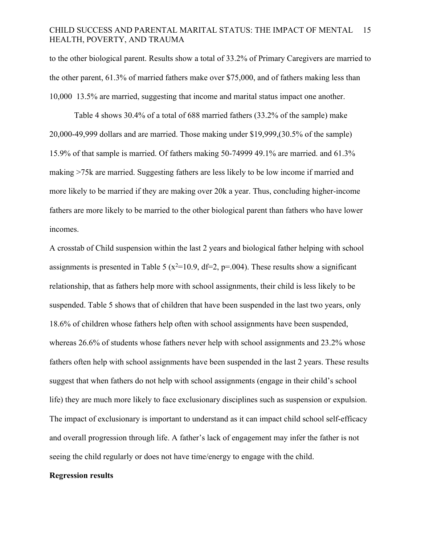to the other biological parent. Results show a total of 33.2% of Primary Caregivers are married to the other parent, 61.3% of married fathers make over \$75,000, and of fathers making less than 10,000 13.5% are married, suggesting that income and marital status impact one another.

Table 4 shows 30.4% of a total of 688 married fathers (33.2% of the sample) make 20,000-49,999 dollars and are married. Those making under \$19,999,(30.5% of the sample) 15.9% of that sample is married. Of fathers making 50-74999 49.1% are married. and 61.3% making >75k are married. Suggesting fathers are less likely to be low income if married and more likely to be married if they are making over 20k a year. Thus, concluding higher-income fathers are more likely to be married to the other biological parent than fathers who have lower incomes.

A crosstab of Child suspension within the last 2 years and biological father helping with school assignments is presented in Table 5 ( $x^2$ =10.9, df=2, p=.004). These results show a significant relationship, that as fathers help more with school assignments, their child is less likely to be suspended. Table 5 shows that of children that have been suspended in the last two years, only 18.6% of children whose fathers help often with school assignments have been suspended, whereas 26.6% of students whose fathers never help with school assignments and 23.2% whose fathers often help with school assignments have been suspended in the last 2 years. These results suggest that when fathers do not help with school assignments (engage in their child's school life) they are much more likely to face exclusionary disciplines such as suspension or expulsion. The impact of exclusionary is important to understand as it can impact child school self-efficacy and overall progression through life. A father's lack of engagement may infer the father is not seeing the child regularly or does not have time/energy to engage with the child.

### **Regression results**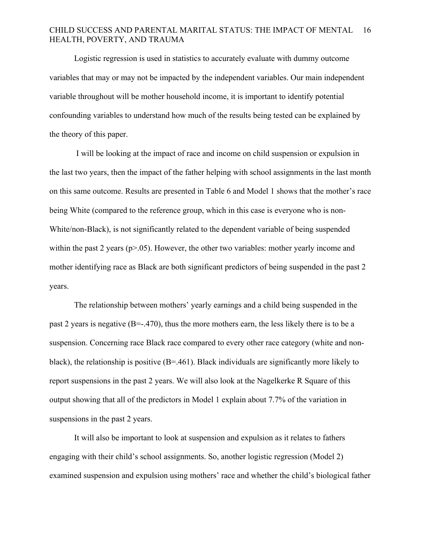Logistic regression is used in statistics to accurately evaluate with dummy outcome variables that may or may not be impacted by the independent variables. Our main independent variable throughout will be mother household income, it is important to identify potential confounding variables to understand how much of the results being tested can be explained by the theory of this paper.

I will be looking at the impact of race and income on child suspension or expulsion in the last two years, then the impact of the father helping with school assignments in the last month on this same outcome. Results are presented in Table 6 and Model 1 shows that the mother's race being White (compared to the reference group, which in this case is everyone who is non-White/non-Black), is not significantly related to the dependent variable of being suspended within the past 2 years ( $p>0.05$ ). However, the other two variables: mother yearly income and mother identifying race as Black are both significant predictors of being suspended in the past 2 years.

The relationship between mothers' yearly earnings and a child being suspended in the past 2 years is negative (B=-.470), thus the more mothers earn, the less likely there is to be a suspension. Concerning race Black race compared to every other race category (white and nonblack), the relationship is positive  $(B=.461)$ . Black individuals are significantly more likely to report suspensions in the past 2 years. We will also look at the Nagelkerke R Square of this output showing that all of the predictors in Model 1 explain about 7.7% of the variation in suspensions in the past 2 years.

It will also be important to look at suspension and expulsion as it relates to fathers engaging with their child's school assignments. So, another logistic regression (Model 2) examined suspension and expulsion using mothers' race and whether the child's biological father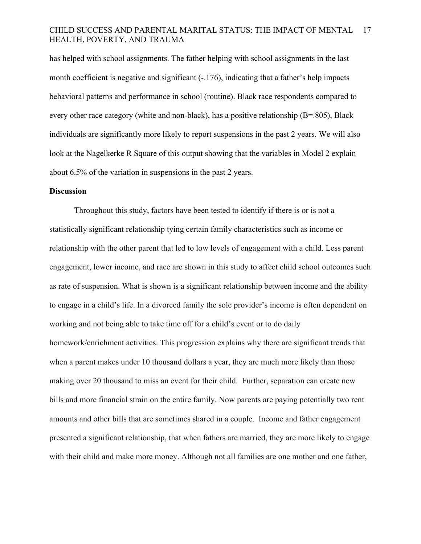has helped with school assignments. The father helping with school assignments in the last month coefficient is negative and significant (-.176), indicating that a father's help impacts behavioral patterns and performance in school (routine). Black race respondents compared to every other race category (white and non-black), has a positive relationship  $(B=.805)$ , Black individuals are significantly more likely to report suspensions in the past 2 years. We will also look at the Nagelkerke R Square of this output showing that the variables in Model 2 explain about 6.5% of the variation in suspensions in the past 2 years.

### **Discussion**

Throughout this study, factors have been tested to identify if there is or is not a statistically significant relationship tying certain family characteristics such as income or relationship with the other parent that led to low levels of engagement with a child. Less parent engagement, lower income, and race are shown in this study to affect child school outcomes such as rate of suspension. What is shown is a significant relationship between income and the ability to engage in a child's life. In a divorced family the sole provider's income is often dependent on working and not being able to take time off for a child's event or to do daily homework/enrichment activities. This progression explains why there are significant trends that when a parent makes under 10 thousand dollars a year, they are much more likely than those making over 20 thousand to miss an event for their child. Further, separation can create new bills and more financial strain on the entire family. Now parents are paying potentially two rent amounts and other bills that are sometimes shared in a couple. Income and father engagement presented a significant relationship, that when fathers are married, they are more likely to engage with their child and make more money. Although not all families are one mother and one father,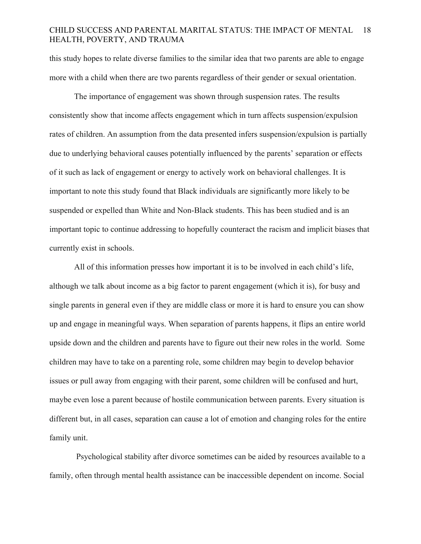this study hopes to relate diverse families to the similar idea that two parents are able to engage more with a child when there are two parents regardless of their gender or sexual orientation.

The importance of engagement was shown through suspension rates. The results consistently show that income affects engagement which in turn affects suspension/expulsion rates of children. An assumption from the data presented infers suspension/expulsion is partially due to underlying behavioral causes potentially influenced by the parents' separation or effects of it such as lack of engagement or energy to actively work on behavioral challenges. It is important to note this study found that Black individuals are significantly more likely to be suspended or expelled than White and Non-Black students. This has been studied and is an important topic to continue addressing to hopefully counteract the racism and implicit biases that currently exist in schools.

All of this information presses how important it is to be involved in each child's life, although we talk about income as a big factor to parent engagement (which it is), for busy and single parents in general even if they are middle class or more it is hard to ensure you can show up and engage in meaningful ways. When separation of parents happens, it flips an entire world upside down and the children and parents have to figure out their new roles in the world. Some children may have to take on a parenting role, some children may begin to develop behavior issues or pull away from engaging with their parent, some children will be confused and hurt, maybe even lose a parent because of hostile communication between parents. Every situation is different but, in all cases, separation can cause a lot of emotion and changing roles for the entire family unit.

Psychological stability after divorce sometimes can be aided by resources available to a family, often through mental health assistance can be inaccessible dependent on income. Social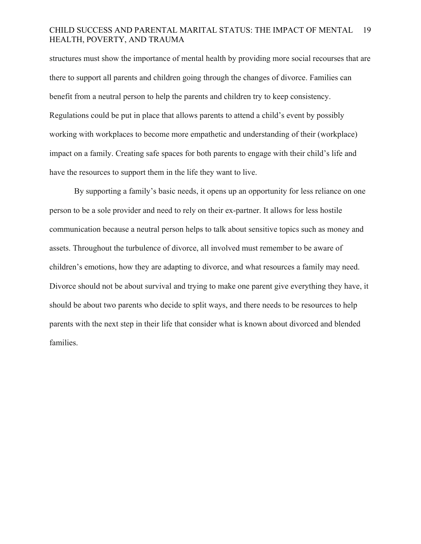structures must show the importance of mental health by providing more social recourses that are there to support all parents and children going through the changes of divorce. Families can benefit from a neutral person to help the parents and children try to keep consistency. Regulations could be put in place that allows parents to attend a child's event by possibly working with workplaces to become more empathetic and understanding of their (workplace) impact on a family. Creating safe spaces for both parents to engage with their child's life and have the resources to support them in the life they want to live.

By supporting a family's basic needs, it opens up an opportunity for less reliance on one person to be a sole provider and need to rely on their ex-partner. It allows for less hostile communication because a neutral person helps to talk about sensitive topics such as money and assets. Throughout the turbulence of divorce, all involved must remember to be aware of children's emotions, how they are adapting to divorce, and what resources a family may need. Divorce should not be about survival and trying to make one parent give everything they have, it should be about two parents who decide to split ways, and there needs to be resources to help parents with the next step in their life that consider what is known about divorced and blended families.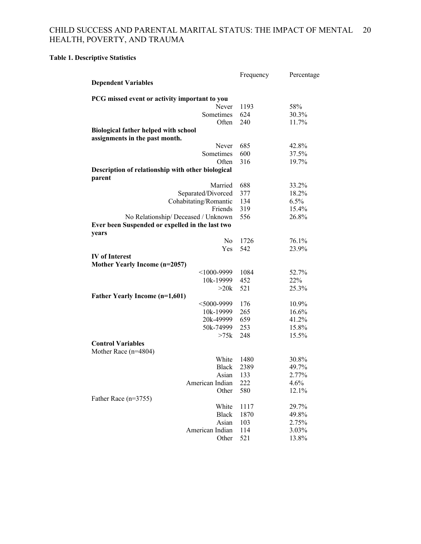**Table 1. Descriptive Statistics** 

|                                                                                        | Frequency | Percentage |
|----------------------------------------------------------------------------------------|-----------|------------|
| <b>Dependent Variables</b>                                                             |           |            |
| PCG missed event or activity important to you                                          |           |            |
| Never                                                                                  | 1193      | 58%        |
| Sometimes                                                                              | 624       | 30.3%      |
| Often                                                                                  | 240       | 11.7%      |
| <b>Biological father helped with school</b>                                            |           |            |
| assignments in the past month.                                                         |           |            |
| Never                                                                                  | 685       | 42.8%      |
| Sometimes                                                                              | 600       | 37.5%      |
| Often                                                                                  | 316       | 19.7%      |
| Description of relationship with other biological                                      |           |            |
| parent                                                                                 |           |            |
| Married                                                                                | 688       | 33.2%      |
| Separated/Divorced                                                                     | 377       | 18.2%      |
| Cohabitating/Romantic                                                                  | 134       | 6.5%       |
| Friends                                                                                | 319       | 15.4%      |
| No Relationship/ Deceased / Unknown<br>Ever been Suspended or expelled in the last two | 556       | 26.8%      |
| years                                                                                  |           |            |
| N <sub>0</sub>                                                                         | 1726      | 76.1%      |
| Yes                                                                                    | 542       | 23.9%      |
| <b>IV</b> of Interest<br>Mother Yearly Income (n=2057)                                 |           |            |
| $<$ 1000-9999                                                                          | 1084      | 52.7%      |
| 10k-19999                                                                              | 452       | 22%        |
| >20k                                                                                   | 521       | 25.3%      |
| Father Yearly Income (n=1,601)                                                         |           |            |
| $<$ 5000-9999                                                                          | 176       | 10.9%      |
| 10k-19999                                                                              | 265       | 16.6%      |
| 20k-49999                                                                              | 659       | 41.2%      |
| 50k-74999                                                                              | 253       | 15.8%      |
| >75k                                                                                   | 248       | 15.5%      |
| <b>Control Variables</b>                                                               |           |            |
| Mother Race (n=4804)                                                                   |           |            |
| White                                                                                  | 1480      | 30.8%      |
| <b>Black</b>                                                                           | 2389      | 49.7%      |
| Asian                                                                                  | 133       | 2.77%      |
| American Indian                                                                        | 222       | 4.6%       |
|                                                                                        |           |            |
| Other                                                                                  | 580       | 12.1%      |
| Father Race (n=3755)                                                                   |           |            |
| White                                                                                  | 1117      | 29.7%      |
| <b>Black</b>                                                                           | 1870      | 49.8%      |
| Asian                                                                                  | 103       | 2.75%      |
| American Indian                                                                        | 114       | 3.03%      |
| Other                                                                                  | 521       | 13.8%      |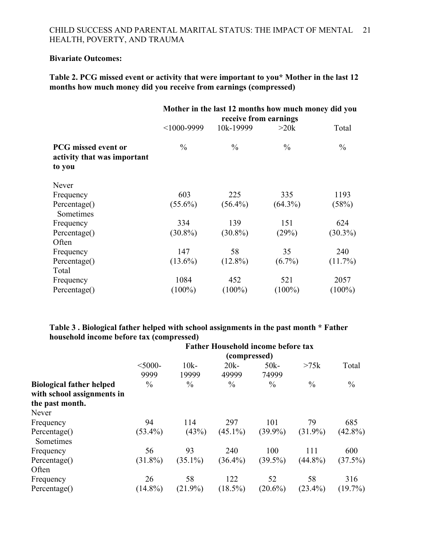### **Bivariate Outcomes:**

**Table 2. PCG missed event or activity that were important to you\* Mother in the last 12 months how much money did you receive from earnings (compressed)**

|                                                                     | Mother in the last 12 months how much money did you<br>receive from earnings |               |               |               |  |  |
|---------------------------------------------------------------------|------------------------------------------------------------------------------|---------------|---------------|---------------|--|--|
|                                                                     | $<$ 1000-9999                                                                | 10k-19999     | >20k          | Total         |  |  |
| <b>PCG</b> missed event or<br>activity that was important<br>to you | $\frac{0}{0}$                                                                | $\frac{0}{0}$ | $\frac{0}{0}$ | $\frac{0}{0}$ |  |  |
| Never                                                               |                                                                              |               |               |               |  |  |
| Frequency                                                           | 603                                                                          | 225           | 335           | 1193          |  |  |
| Percentage()<br>Sometimes                                           | $(55.6\%)$                                                                   | $(56.4\%)$    | $(64.3\%)$    | (58%)         |  |  |
| Frequency                                                           | 334                                                                          | 139           | 151           | 624           |  |  |
| Percentage()                                                        | $(30.8\%)$                                                                   | $(30.8\%)$    | (29%)         | $(30.3\%)$    |  |  |
| Often                                                               |                                                                              |               |               |               |  |  |
| Frequency                                                           | 147                                                                          | 58            | 35            | 240           |  |  |
| Percentage()                                                        | $(13.6\%)$                                                                   | $(12.8\%)$    | $(6.7\%)$     | $(11.7\%)$    |  |  |
| Total                                                               |                                                                              |               |               |               |  |  |
| Frequency                                                           | 1084                                                                         | 452           | 521           | 2057          |  |  |
| Percentage()                                                        | $(100\%)$                                                                    | $(100\%)$     | $(100\%)$     | $(100\%)$     |  |  |

### **Table 3 . Biological father helped with school assignments in the past month \* Father household income before tax (compressed) Father Household income before tax**

|                                                               | Father Household income before tax<br>(compressed) |               |               |               |               |               |  |
|---------------------------------------------------------------|----------------------------------------------------|---------------|---------------|---------------|---------------|---------------|--|
|                                                               |                                                    |               |               |               |               |               |  |
|                                                               | $<$ 5000-                                          | $10k-$        | $20k -$       | $50k-$        | >75k          | Total         |  |
|                                                               | 9999                                               | 19999         | 49999         | 74999         |               |               |  |
| <b>Biological father helped</b><br>with school assignments in | $\frac{0}{0}$                                      | $\frac{0}{0}$ | $\frac{0}{0}$ | $\frac{0}{0}$ | $\frac{0}{0}$ | $\frac{0}{0}$ |  |
| the past month.                                               |                                                    |               |               |               |               |               |  |
| Never                                                         |                                                    |               |               |               |               |               |  |
| Frequency                                                     | 94                                                 | 114           | 297           | 101           | 79            | 685           |  |
| Percentage()<br>Sometimes                                     | $(53.4\%)$                                         | (43%)         | $(45.1\%)$    | $(39.9\%)$    | $(31.9\%)$    | $(42.8\%)$    |  |
| Frequency                                                     | 56                                                 | 93            | 240           | 100           | 111           | 600           |  |
| Percentage()                                                  | $(31.8\%)$                                         | $(35.1\%)$    | $(36.4\%)$    | $(39.5\%)$    | $(44.8\%)$    | $(37.5\%)$    |  |
| Often                                                         |                                                    |               |               |               |               |               |  |
| Frequency                                                     | 26                                                 | 58            | 122           | 52            | 58            | 316           |  |
| Percentage()                                                  | $(14.8\%)$                                         | $(21.9\%)$    | $(18.5\%)$    | $(20.6\%)$    | $(23.4\%)$    | $(19.7\%)$    |  |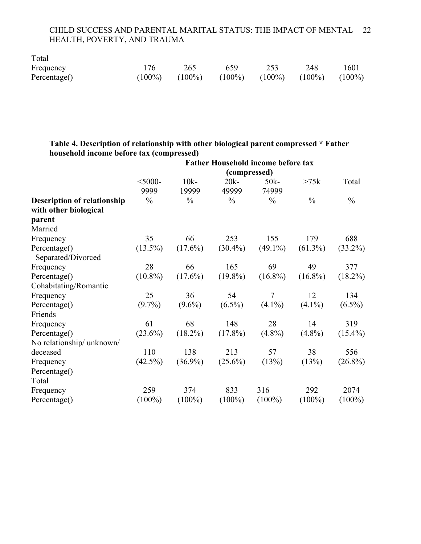| Total        |     |                     |           |                               |     |      |
|--------------|-----|---------------------|-----------|-------------------------------|-----|------|
| Frequency    | 176 | 265                 | 659       | 253                           | 248 | 1601 |
| Percentage() |     | $(100\%)$ $(100\%)$ | $(100\%)$ | $(100\%)$ $(100\%)$ $(100\%)$ |     |      |

### **Table 4. Description of relationship with other biological parent compressed \* Father household income before tax (compressed)**

|                                                             | <b>Father Household income before tax</b> |               |               |               |               |               |
|-------------------------------------------------------------|-------------------------------------------|---------------|---------------|---------------|---------------|---------------|
|                                                             | (compressed)                              |               |               |               |               |               |
|                                                             | $<$ 5000-                                 | $10k -$       | $20k -$       | $50k -$       | >75k          | Total         |
|                                                             | 9999                                      | 19999         | 49999         | 74999         |               |               |
| <b>Description of relationship</b><br>with other biological | $\frac{0}{0}$                             | $\frac{0}{0}$ | $\frac{0}{0}$ | $\frac{0}{0}$ | $\frac{0}{0}$ | $\frac{0}{0}$ |
| parent                                                      |                                           |               |               |               |               |               |
| Married                                                     |                                           |               |               |               |               |               |
| Frequency                                                   | 35                                        | 66            | 253           | 155           | 179           | 688           |
| Percentage()<br>Separated/Divorced                          | $(13.5\%)$                                | $(17.6\%)$    | $(30.4\%)$    | $(49.1\%)$    | $(61.3\%)$    | $(33.2\%)$    |
| Frequency                                                   | 28                                        | 66            | 165           | 69            | 49            | 377           |
| Percentage()                                                | $(10.8\%)$                                | $(17.6\%)$    | $(19.8\%)$    | $(16.8\%)$    | $(16.8\%)$    | $(18.2\%)$    |
| Cohabitating/Romantic                                       |                                           |               |               |               |               |               |
| Frequency                                                   | 25                                        | 36            | 54            | $\tau$        | 12            | 134           |
| Percentage()                                                | $(9.7\%)$                                 | $(9.6\%)$     | $(6.5\%)$     | $(4.1\%)$     | $(4.1\%)$     | $(6.5\%)$     |
| Friends                                                     |                                           |               |               |               |               |               |
| Frequency                                                   | 61                                        | 68            | 148           | 28            | 14            | 319           |
| Percentage()                                                | $(23.6\%)$                                | $(18.2\%)$    | $(17.8\%)$    | $(4.8\%)$     | $(4.8\%)$     | $(15.4\%)$    |
| No relationship/ unknown/                                   |                                           |               |               |               |               |               |
| deceased                                                    | 110                                       | 138           | 213           | 57            | 38            | 556           |
| Frequency                                                   | $(42.5\%)$                                | $(36.9\%)$    | $(25.6\%)$    | (13%)         | (13%)         | $(26.8\%)$    |
| Percentage()                                                |                                           |               |               |               |               |               |
| Total                                                       |                                           |               |               |               |               |               |
| Frequency                                                   | 259                                       | 374           | 833           | 316           | 292           | 2074          |
| Percentage()                                                | $(100\%)$                                 | $(100\%)$     | $(100\%)$     | $(100\%)$     | $(100\%)$     | $(100\%)$     |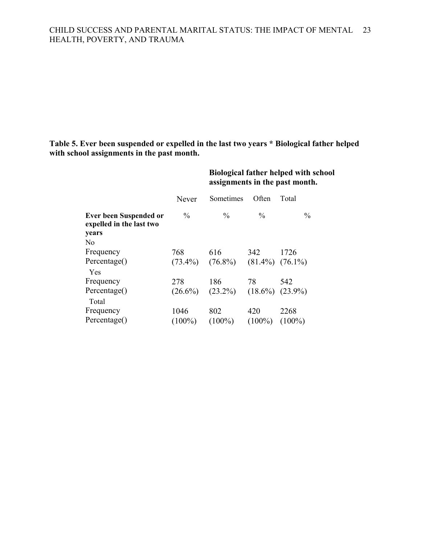### **Table 5. Ever been suspended or expelled in the last two years \* Biological father helped with school assignments in the past month.**

|                                                           |               | <b>Biological father helped with school</b><br>assignments in the past month. |                       |               |  |
|-----------------------------------------------------------|---------------|-------------------------------------------------------------------------------|-----------------------|---------------|--|
|                                                           | Never         | Sometimes                                                                     | Often                 | Total         |  |
| <b>Ever been Suspended or</b><br>expelled in the last two | $\frac{0}{0}$ | $\frac{0}{0}$                                                                 | $\%$                  | $\frac{0}{0}$ |  |
| years                                                     |               |                                                                               |                       |               |  |
| N <sub>0</sub>                                            |               |                                                                               |                       |               |  |
| Frequency                                                 | 768           | 616                                                                           | 342                   | 1726          |  |
| Percentage()                                              | $(73.4\%)$    | $(76.8\%)$                                                                    | $(81.4\%)$ $(76.1\%)$ |               |  |
| Yes                                                       |               |                                                                               |                       |               |  |
| Frequency                                                 | 278           | 186                                                                           | 78                    | 542           |  |
| Percentage()                                              | $(26.6\%)$    | $(23.2\%)$                                                                    | $(18.6\%) (23.9\%)$   |               |  |
| Total                                                     |               |                                                                               |                       |               |  |
| Frequency                                                 | 1046          | 802                                                                           | 420                   | 2268          |  |
| Percentage()                                              | $(100\%)$     | $(100\%)$                                                                     | $(100\%)$             | $(100\%)$     |  |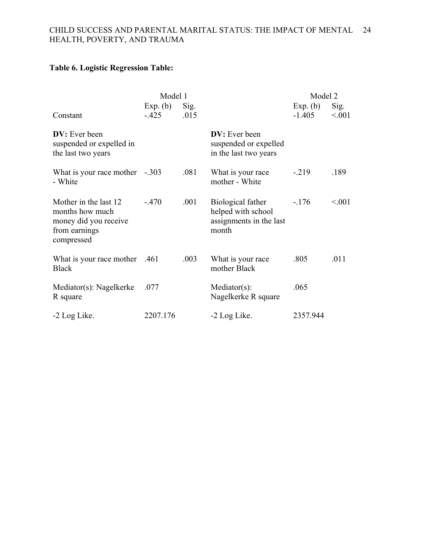### **Table 6. Logistic Regression Table:**

|                                                                                                  | Model 1             |              |                                                                             | Model 2              |                 |
|--------------------------------------------------------------------------------------------------|---------------------|--------------|-----------------------------------------------------------------------------|----------------------|-----------------|
| Constant                                                                                         | Exp. (b)<br>$-.425$ | Sig.<br>.015 |                                                                             | Exp. (b)<br>$-1.405$ | Sig.<br>< 0.001 |
| <b>DV</b> : Ever been<br>suspended or expelled in<br>the last two years                          |                     |              | <b>DV</b> : Ever been<br>suspended or expelled<br>in the last two years     |                      |                 |
| What is your race mother -.303<br>- White                                                        |                     | .081         | What is your race<br>mother - White                                         | $-.219$              | .189            |
| Mother in the last 12<br>months how much<br>money did you receive<br>from earnings<br>compressed | $-.470$             | .001         | Biological father<br>helped with school<br>assignments in the last<br>month | $-176$               | < 0.001         |
| What is your race mother .461<br><b>Black</b>                                                    |                     | .003         | What is your race<br>mother Black                                           | .805                 | .011            |
| Mediator(s): Nagelkerke<br>R square                                                              | .077                |              | $Mediator(s)$ :<br>Nagelkerke R square                                      | .065                 |                 |
| -2 Log Like.                                                                                     | 2207.176            |              | -2 Log Like.                                                                | 2357.944             |                 |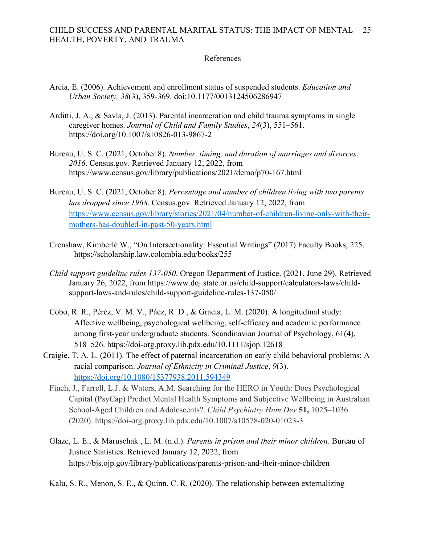### References

- Arcia, E. (2006). Achievement and enrollment status of suspended students. *Education and Urban Society, 38*(3), 359-369. doi:10.1177/0013124506286947
- Arditti, J. A., & Savla, J. (2013). Parental incarceration and child trauma symptoms in single caregiver homes. *Journal of Child and Family Studies*, *24*(3), 551–561. https://doi.org/10.1007/s10826-013-9867-2
- Bureau, U. S. C. (2021, October 8). *Number, timing, and duration of marriages and divorces: 2016*. Census.gov. Retrieved January 12, 2022, from https://www.census.gov/library/publications/2021/demo/p70-167.html
- Bureau, U. S. C. (2021, October 8). *Percentage and number of children living with two parents has dropped since 1968*. Census.gov. Retrieved January 12, 2022, from https://www.census.gov/library/stories/2021/04/number-of-children-living-only-with-theirmothers-has-doubled-in-past-50-years.html
- Crenshaw, Kimberlé W., "On Intersectionality: Essential Writings" (2017) Faculty Books, 225. https://scholarship.law.colombia.edu/books/255
- *Child support guideline rules 137-050*. Oregon Department of Justice. (2021, June 29). Retrieved January 26, 2022, from https://www.doj.state.or.us/child-support/calculators-laws/childsupport-laws-and-rules/child-support-guideline-rules-137-050/
- Cobo, R. R., Pérez, V. M. V., Páez, R. D., & Gracia, L. M. (2020). A longitudinal study: Affective wellbeing, psychological wellbeing, self-efficacy and academic performance among first‐year undergraduate students. Scandinavian Journal of Psychology, 61(4), 518–526. https://doi-org.proxy.lib.pdx.edu/10.1111/sjop.12618
- Craigie, T. A. L. (2011). The effect of paternal incarceration on early child behavioral problems: A racial comparison. *Journal of Ethnicity in Criminal Justice*, *9*(3). https://doi.org/10.1080/15377938.2011.594349
	- Finch, J., Farrell, L.J. & Waters, A.M. Searching for the HERO in Youth: Does Psychological Capital (PsyCap) Predict Mental Health Symptoms and Subjective Wellbeing in Australian School-Aged Children and Adolescents?. *Child Psychiatry Hum Dev* **51,** 1025–1036 (2020). https://doi-org.proxy.lib.pdx.edu/10.1007/s10578-020-01023-3
	- Glaze, L. E., & Maruschak , L. M. (n.d.). *Parents in prison and their minor children*. Bureau of Justice Statistics. Retrieved January 12, 2022, from https://bjs.ojp.gov/library/publications/parents-prison-and-their-minor-children

Kalu, S. R., Menon, S. E., & Quinn, C. R. (2020). The relationship between externalizing